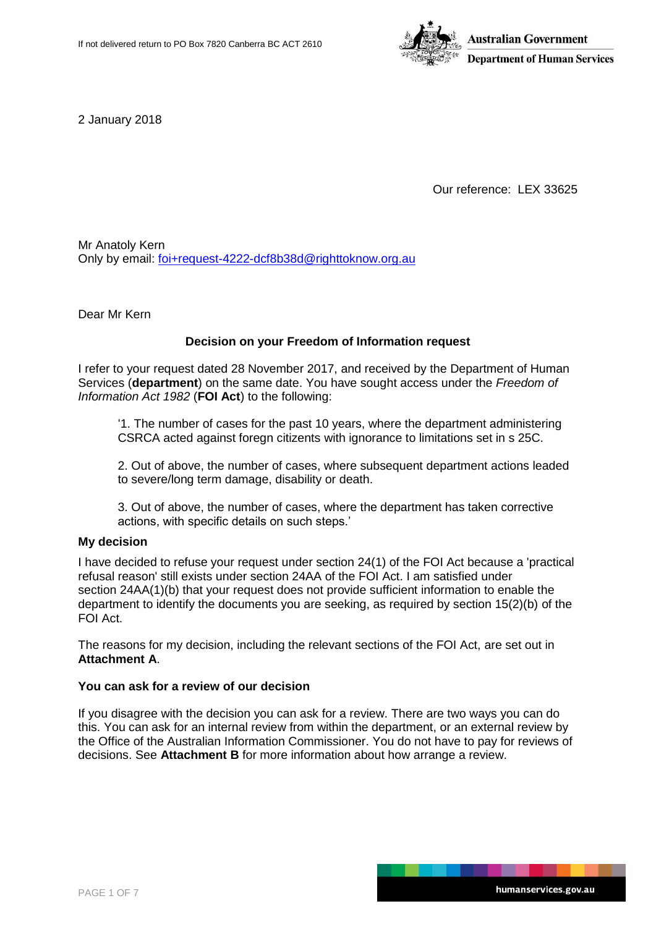

2 January 2018

Our reference: LEX 33625

Mr Anatoly Kern Only by email: [foi+request-4222-dcf8b38d@righttoknow.org.au](mailto:xxxxxxxxxxxxxxxxxxxxxxxxx@xxxxxxxxxxx.xxx.xx)

Dear Mr Kern

### **Decision on your Freedom of Information request**

I refer to your request dated 28 November 2017, and received by the Department of Human Services (**department**) on the same date. You have sought access under the *Freedom of Information Act 1982* (**FOI Act**) to the following:

'1. The number of cases for the past 10 years, where the department administering CSRCA acted against foregn citizents with ignorance to limitations set in s 25C.

2. Out of above, the number of cases, where subsequent department actions leaded to severe/long term damage, disability or death.

3. Out of above, the number of cases, where the department has taken corrective actions, with specific details on such steps.'

### **My decision**

I have decided to refuse your request under section 24(1) of the FOI Act because a 'practical refusal reason' still exists under section 24AA of the FOI Act. I am satisfied under section 24AA(1)(b) that your request does not provide sufficient information to enable the department to identify the documents you are seeking, as required by section 15(2)(b) of the FOI Act.

The reasons for my decision, including the relevant sections of the FOI Act, are set out in **Attachment A**.

### **You can ask for a review of our decision**

If you disagree with the decision you can ask for a review. There are two ways you can do this. You can ask for an internal review from within the department, or an external review by the Office of the Australian Information Commissioner. You do not have to pay for reviews of decisions. See **Attachment B** for more information about how arrange a review.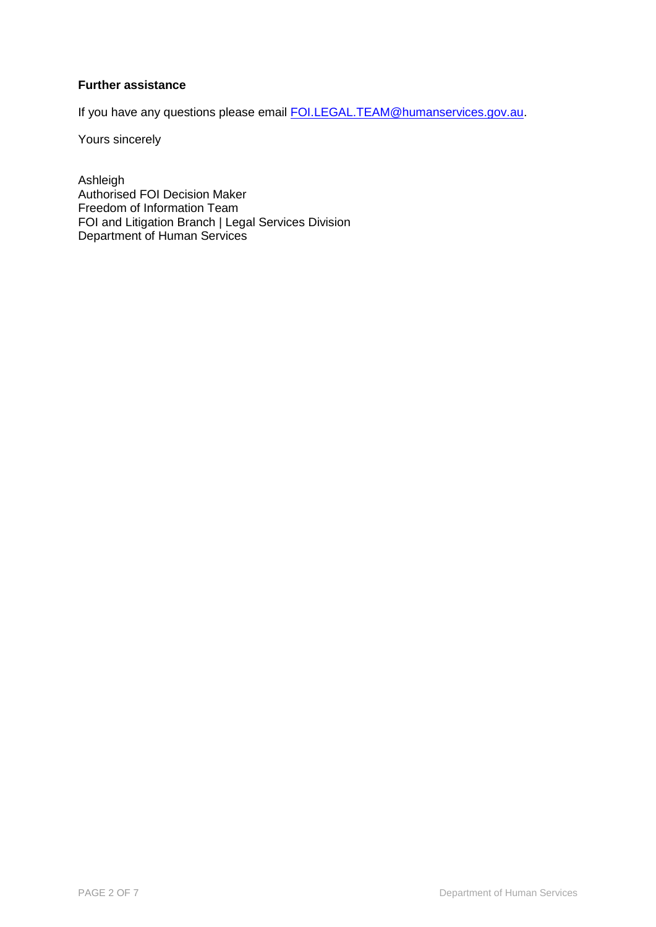# **Further assistance**

If you have any questions please email **FOI.LEGAL.TEAM@humanservices.gov.au.** 

Yours sincerely

Ashleigh Authorised FOI Decision Maker Freedom of Information Team FOI and Litigation Branch | Legal Services Division Department of Human Services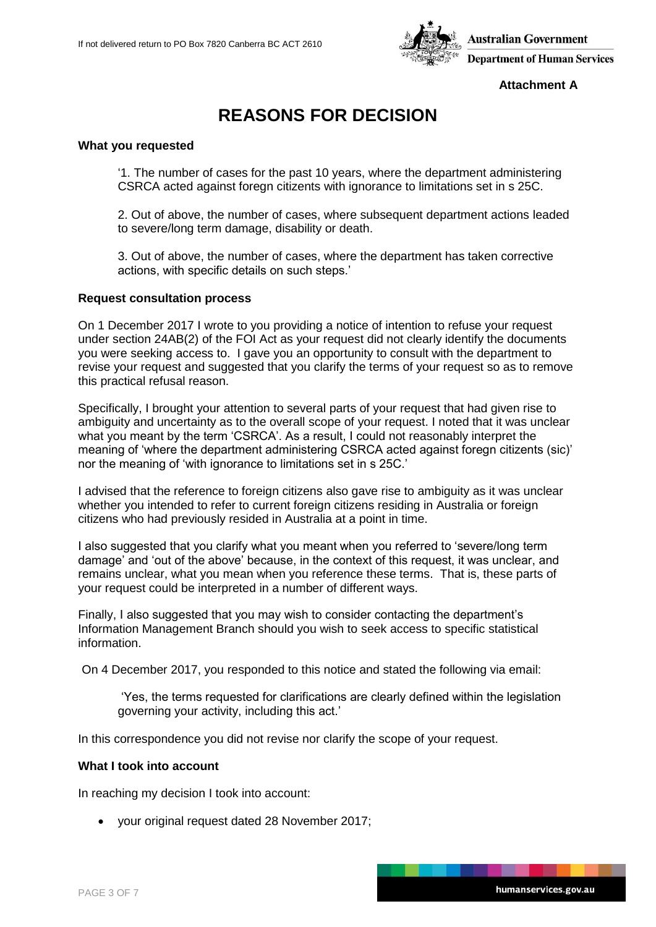

**Attachment A**

# **REASONS FOR DECISION**

### **What you requested**

'1. The number of cases for the past 10 years, where the department administering CSRCA acted against foregn citizents with ignorance to limitations set in s 25C.

2. Out of above, the number of cases, where subsequent department actions leaded to severe/long term damage, disability or death.

3. Out of above, the number of cases, where the department has taken corrective actions, with specific details on such steps.'

### **Request consultation process**

On 1 December 2017 I wrote to you providing a notice of intention to refuse your request under section 24AB(2) of the FOI Act as your request did not clearly identify the documents you were seeking access to. I gave you an opportunity to consult with the department to revise your request and suggested that you clarify the terms of your request so as to remove this practical refusal reason.

Specifically, I brought your attention to several parts of your request that had given rise to ambiguity and uncertainty as to the overall scope of your request. I noted that it was unclear what you meant by the term 'CSRCA'. As a result, I could not reasonably interpret the meaning of 'where the department administering CSRCA acted against foregn citizents (sic)' nor the meaning of 'with ignorance to limitations set in s 25C.'

I advised that the reference to foreign citizens also gave rise to ambiguity as it was unclear whether you intended to refer to current foreign citizens residing in Australia or foreign citizens who had previously resided in Australia at a point in time.

I also suggested that you clarify what you meant when you referred to 'severe/long term damage' and 'out of the above' because, in the context of this request, it was unclear, and remains unclear, what you mean when you reference these terms. That is, these parts of your request could be interpreted in a number of different ways.

Finally, I also suggested that you may wish to consider contacting the department's Information Management Branch should you wish to seek access to specific statistical information.

On 4 December 2017, you responded to this notice and stated the following via email:

'Yes, the terms requested for clarifications are clearly defined within the legislation governing your activity, including this act.'

In this correspondence you did not revise nor clarify the scope of your request.

#### **What I took into account**

In reaching my decision I took into account:

your original request dated 28 November 2017;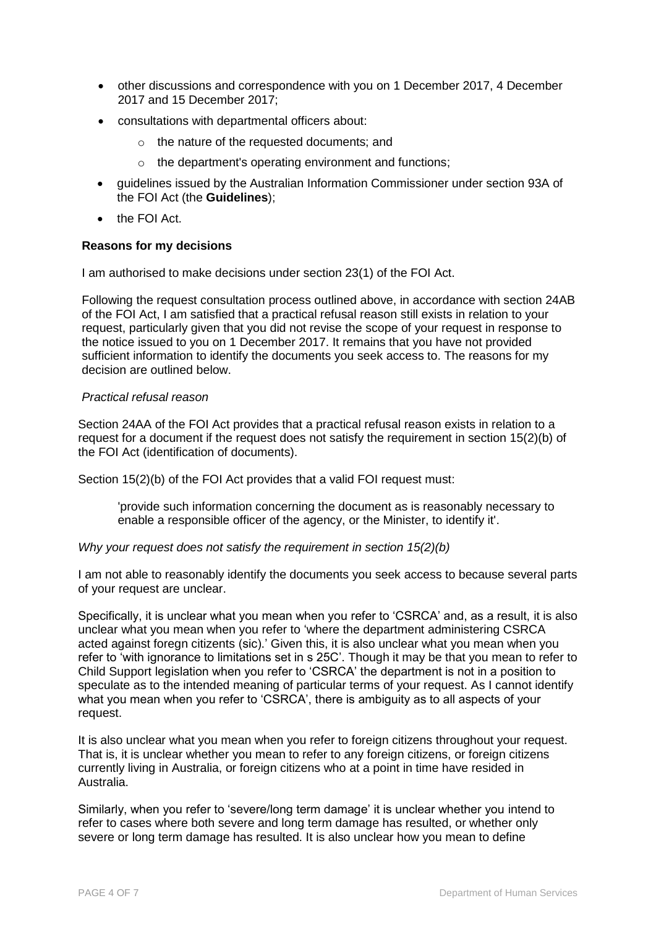- other discussions and correspondence with you on 1 December 2017, 4 December 2017 and 15 December 2017;
- consultations with departmental officers about:
	- o the nature of the requested documents; and
	- o the department's operating environment and functions;
- guidelines issued by the Australian Information Commissioner under section 93A of the FOI Act (the **Guidelines**);
- **•** the FOI Act.

# **Reasons for my decisions**

I am authorised to make decisions under section 23(1) of the FOI Act.

Following the request consultation process outlined above, in accordance with section 24AB of the FOI Act, I am satisfied that a practical refusal reason still exists in relation to your request, particularly given that you did not revise the scope of your request in response to the notice issued to you on 1 December 2017. It remains that you have not provided sufficient information to identify the documents you seek access to. The reasons for my decision are outlined below.

### *Practical refusal reason*

Section 24AA of the FOI Act provides that a practical refusal reason exists in relation to a request for a document if the request does not satisfy the requirement in section 15(2)(b) of the FOI Act (identification of documents).

Section 15(2)(b) of the FOI Act provides that a valid FOI request must:

'provide such information concerning the document as is reasonably necessary to enable a responsible officer of the agency, or the Minister, to identify it'.

# *Why your request does not satisfy the requirement in section 15(2)(b)*

I am not able to reasonably identify the documents you seek access to because several parts of your request are unclear.

Specifically, it is unclear what you mean when you refer to 'CSRCA' and, as a result, it is also unclear what you mean when you refer to 'where the department administering CSRCA acted against foregn citizents (sic).' Given this, it is also unclear what you mean when you refer to 'with ignorance to limitations set in s 25C'. Though it may be that you mean to refer to Child Support legislation when you refer to 'CSRCA' the department is not in a position to speculate as to the intended meaning of particular terms of your request. As I cannot identify what you mean when you refer to 'CSRCA', there is ambiguity as to all aspects of your request.

It is also unclear what you mean when you refer to foreign citizens throughout your request. That is, it is unclear whether you mean to refer to any foreign citizens, or foreign citizens currently living in Australia, or foreign citizens who at a point in time have resided in Australia.

Similarly, when you refer to 'severe/long term damage' it is unclear whether you intend to refer to cases where both severe and long term damage has resulted, or whether only severe or long term damage has resulted. It is also unclear how you mean to define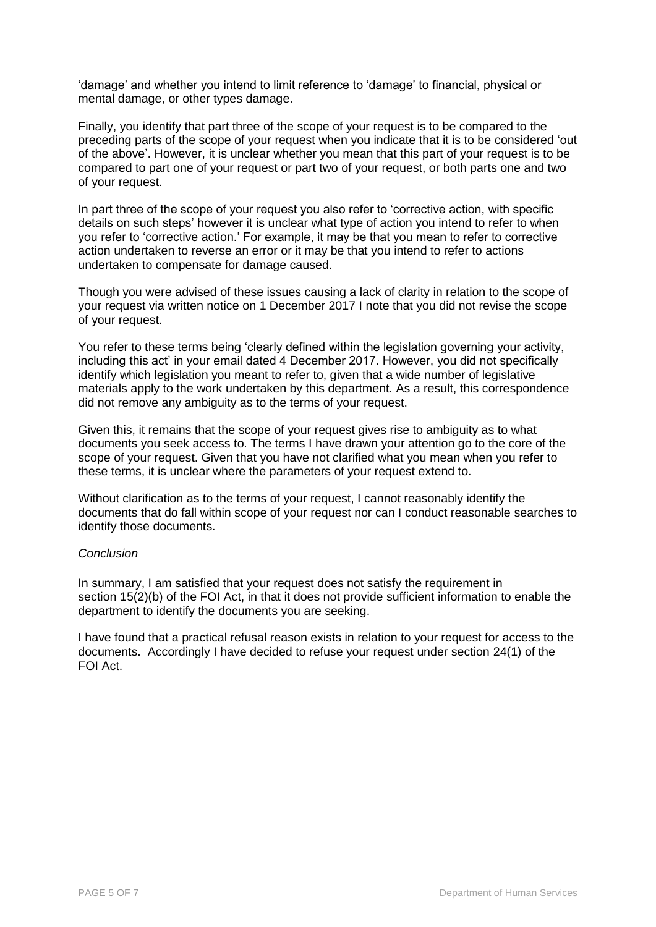'damage' and whether you intend to limit reference to 'damage' to financial, physical or mental damage, or other types damage.

Finally, you identify that part three of the scope of your request is to be compared to the preceding parts of the scope of your request when you indicate that it is to be considered 'out of the above'. However, it is unclear whether you mean that this part of your request is to be compared to part one of your request or part two of your request, or both parts one and two of your request.

In part three of the scope of your request you also refer to 'corrective action, with specific details on such steps' however it is unclear what type of action you intend to refer to when you refer to 'corrective action.' For example, it may be that you mean to refer to corrective action undertaken to reverse an error or it may be that you intend to refer to actions undertaken to compensate for damage caused.

Though you were advised of these issues causing a lack of clarity in relation to the scope of your request via written notice on 1 December 2017 I note that you did not revise the scope of your request.

You refer to these terms being 'clearly defined within the legislation governing your activity, including this act' in your email dated 4 December 2017. However, you did not specifically identify which legislation you meant to refer to, given that a wide number of legislative materials apply to the work undertaken by this department. As a result, this correspondence did not remove any ambiguity as to the terms of your request.

Given this, it remains that the scope of your request gives rise to ambiguity as to what documents you seek access to. The terms I have drawn your attention go to the core of the scope of your request. Given that you have not clarified what you mean when you refer to these terms, it is unclear where the parameters of your request extend to.

Without clarification as to the terms of your request, I cannot reasonably identify the documents that do fall within scope of your request nor can I conduct reasonable searches to identify those documents.

# *Conclusion*

In summary, I am satisfied that your request does not satisfy the requirement in section 15(2)(b) of the FOI Act, in that it does not provide sufficient information to enable the department to identify the documents you are seeking.

I have found that a practical refusal reason exists in relation to your request for access to the documents. Accordingly I have decided to refuse your request under section 24(1) of the FOI Act.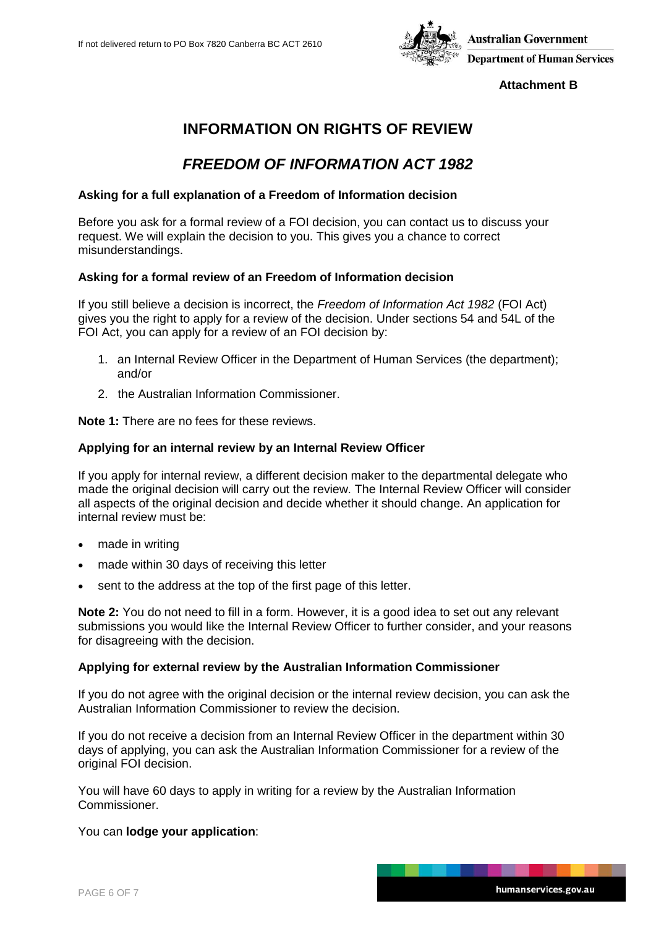

**Attachment B**

# **INFORMATION ON RIGHTS OF REVIEW**

# *FREEDOM OF INFORMATION ACT 1982*

### **Asking for a full explanation of a Freedom of Information decision**

Before you ask for a formal review of a FOI decision, you can contact us to discuss your request. We will explain the decision to you. This gives you a chance to correct misunderstandings.

### **Asking for a formal review of an Freedom of Information decision**

If you still believe a decision is incorrect, the *Freedom of Information Act 1982* (FOI Act) gives you the right to apply for a review of the decision. Under sections 54 and 54L of the FOI Act, you can apply for a review of an FOI decision by:

- 1. an Internal Review Officer in the Department of Human Services (the department); and/or
- 2. the Australian Information Commissioner.

**Note 1:** There are no fees for these reviews.

### **Applying for an internal review by an Internal Review Officer**

If you apply for internal review, a different decision maker to the departmental delegate who made the original decision will carry out the review. The Internal Review Officer will consider all aspects of the original decision and decide whether it should change. An application for internal review must be:

- made in writing
- made within 30 days of receiving this letter
- sent to the address at the top of the first page of this letter.

**Note 2:** You do not need to fill in a form. However, it is a good idea to set out any relevant submissions you would like the Internal Review Officer to further consider, and your reasons for disagreeing with the decision.

### **Applying for external review by the Australian Information Commissioner**

If you do not agree with the original decision or the internal review decision, you can ask the Australian Information Commissioner to review the decision.

If you do not receive a decision from an Internal Review Officer in the department within 30 days of applying, you can ask the Australian Information Commissioner for a review of the original FOI decision.

You will have 60 days to apply in writing for a review by the Australian Information Commissioner.

### You can **lodge your application**: